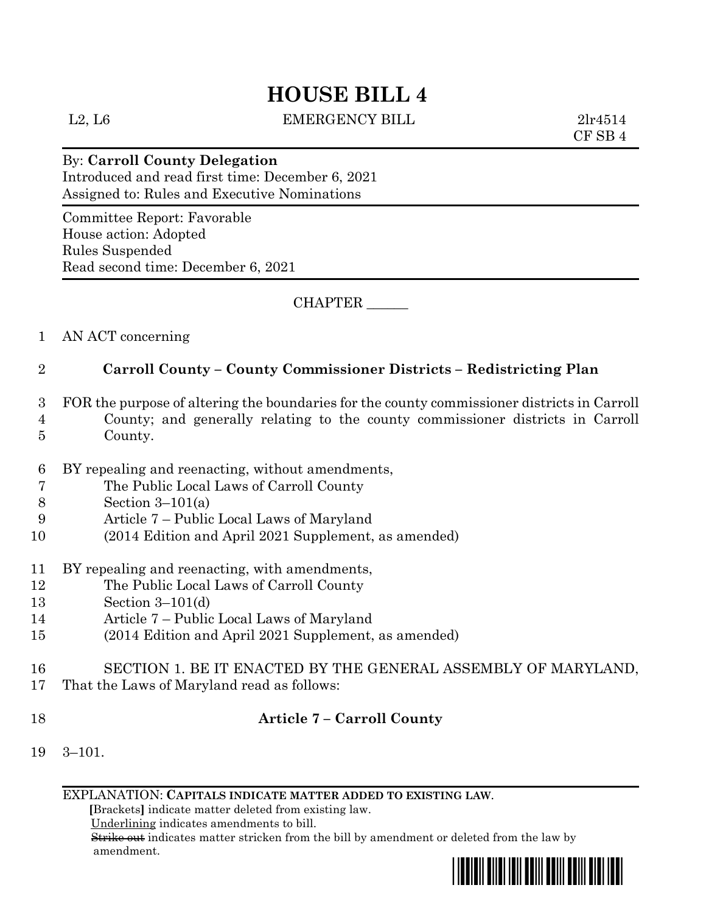# **HOUSE BILL 4**

L2, L6 EMERGENCY BILL 2lr4514

CF SB 4

## By: **Carroll County Delegation**

Introduced and read first time: December 6, 2021 Assigned to: Rules and Executive Nominations

Committee Report: Favorable House action: Adopted Rules Suspended Read second time: December 6, 2021

CHAPTER \_\_\_\_\_\_

1 AN ACT concerning

## 2 **Carroll County – County Commissioner Districts – Redistricting Plan**

- 3 FOR the purpose of altering the boundaries for the county commissioner districts in Carroll
- 4 County; and generally relating to the county commissioner districts in Carroll 5 County.
- 6 BY repealing and reenacting, without amendments,
- 7 The Public Local Laws of Carroll County
- 8 Section 3–101(a)
- 9 Article 7 Public Local Laws of Maryland
- 10 (2014 Edition and April 2021 Supplement, as amended)
- 11 BY repealing and reenacting, with amendments,
- 12 The Public Local Laws of Carroll County
- 13 Section 3–101(d)
- 14 Article 7 Public Local Laws of Maryland
- 15 (2014 Edition and April 2021 Supplement, as amended)
- 16 SECTION 1. BE IT ENACTED BY THE GENERAL ASSEMBLY OF MARYLAND,
- 17 That the Laws of Maryland read as follows:
- 

# 18 **Article 7 – Carroll County**

19 3–101.

EXPLANATION: **CAPITALS INDICATE MATTER ADDED TO EXISTING LAW**.

 **[**Brackets**]** indicate matter deleted from existing law.

Underlining indicates amendments to bill.

 Strike out indicates matter stricken from the bill by amendment or deleted from the law by amendment.

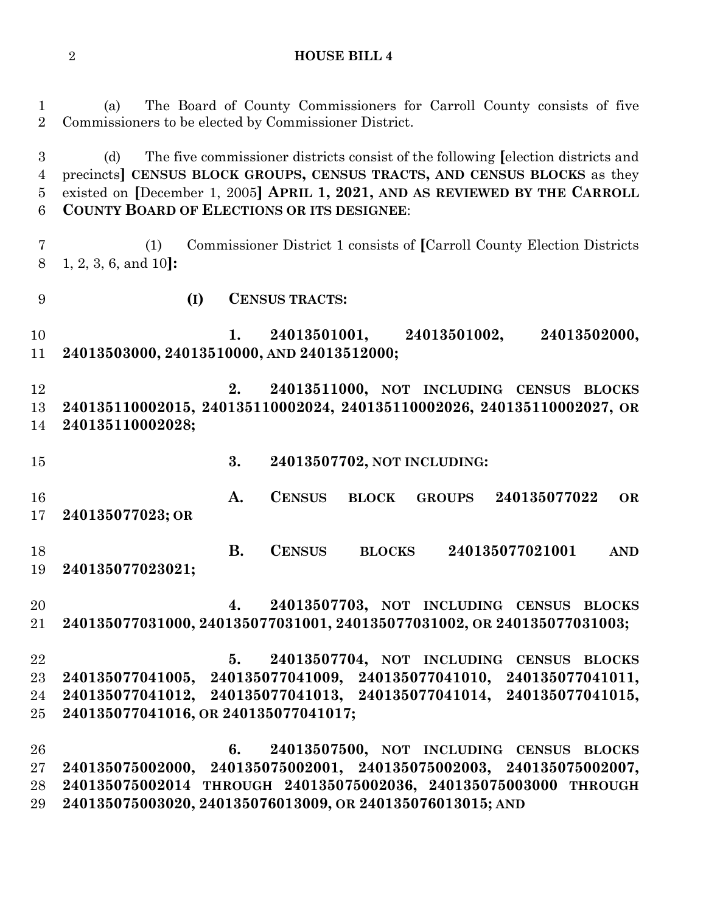**HOUSE BILL 4**

 (a) The Board of County Commissioners for Carroll County consists of five Commissioners to be elected by Commissioner District. (d) The five commissioner districts consist of the following **[**election districts and precincts**] CENSUS BLOCK GROUPS, CENSUS TRACTS, AND CENSUS BLOCKS** as they existed on **[**December 1, 2005**] APRIL 1, 2021, AND AS REVIEWED BY THE CARROLL COUNTY BOARD OF ELECTIONS OR ITS DESIGNEE**: (1) Commissioner District 1 consists of **[**Carroll County Election Districts 1, 2, 3, 6, and 10**]: (I) CENSUS TRACTS: 1. 24013501001, 24013501002, 24013502000, 24013503000, 24013510000, AND 24013512000; 2. 24013511000, NOT INCLUDING CENSUS BLOCKS 240135110002015, 240135110002024, 240135110002026, 240135110002027, OR 240135110002028; 3. 24013507702, NOT INCLUDING: A. CENSUS BLOCK GROUPS 240135077022 OR 240135077023; OR B. CENSUS BLOCKS 240135077021001 AND 240135077023021; 4. 24013507703, NOT INCLUDING CENSUS BLOCKS 240135077031000, 240135077031001, 240135077031002, OR 240135077031003; 5. 24013507704, NOT INCLUDING CENSUS BLOCKS 240135077041005, 240135077041009, 240135077041010, 240135077041011, 240135077041012, 240135077041013, 240135077041014, 240135077041015, 240135077041016, OR 240135077041017; 6. 24013507500, NOT INCLUDING CENSUS BLOCKS 240135075002000, 240135075002001, 240135075002003, 240135075002007, 240135075002014 THROUGH 240135075002036, 240135075003000 THROUGH 240135075003020, 240135076013009, OR 240135076013015; AND**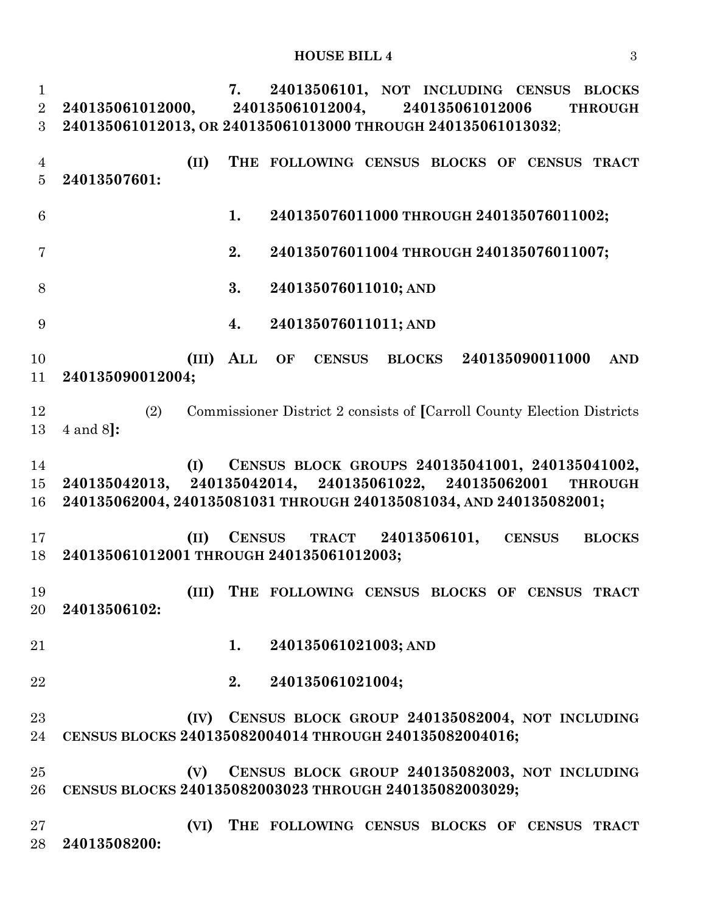**7. 24013506101, NOT INCLUDING CENSUS BLOCKS 240135061012000, 240135061012004, 240135061012006 THROUGH 240135061012013, OR 240135061013000 THROUGH 240135061013032**; **(II) THE FOLLOWING CENSUS BLOCKS OF CENSUS TRACT 24013507601: 1. 240135076011000 THROUGH 240135076011002; 2. 240135076011004 THROUGH 240135076011007; 3. 240135076011010; AND 4. 240135076011011; AND (III) ALL OF CENSUS BLOCKS 240135090011000 AND 240135090012004;** (2) Commissioner District 2 consists of **[**Carroll County Election Districts 4 and 8**]: (I) CENSUS BLOCK GROUPS 240135041001, 240135041002, 240135042013, 240135042014, 240135061022, 240135062001 THROUGH 240135062004, 240135081031 THROUGH 240135081034, AND 240135082001; (II) CENSUS TRACT 24013506101, CENSUS BLOCKS 240135061012001 THROUGH 240135061012003; (III) THE FOLLOWING CENSUS BLOCKS OF CENSUS TRACT 24013506102: 1. 240135061021003; AND 2. 240135061021004; (IV) CENSUS BLOCK GROUP 240135082004, NOT INCLUDING CENSUS BLOCKS 240135082004014 THROUGH 240135082004016; (V) CENSUS BLOCK GROUP 240135082003, NOT INCLUDING CENSUS BLOCKS 240135082003023 THROUGH 240135082003029; (VI) THE FOLLOWING CENSUS BLOCKS OF CENSUS TRACT 24013508200:**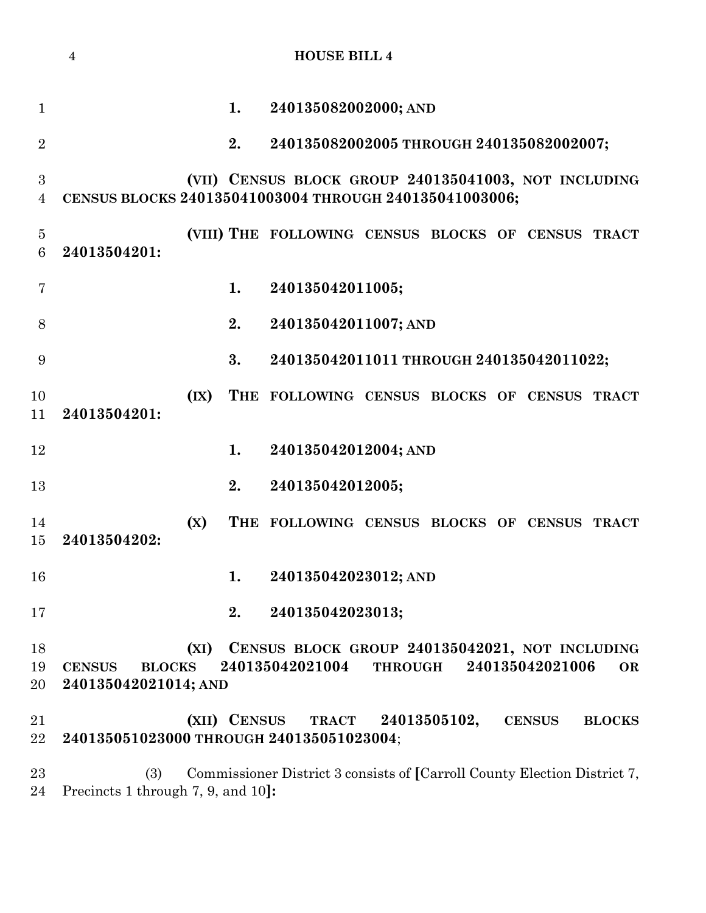|                                    | $\overline{4}$                                         |                          |              | <b>HOUSE BILL 4</b>                                                      |                    |                 |               |
|------------------------------------|--------------------------------------------------------|--------------------------|--------------|--------------------------------------------------------------------------|--------------------|-----------------|---------------|
| $\mathbf{1}$                       |                                                        |                          | 1.           | 240135082002000; AND                                                     |                    |                 |               |
| $\overline{2}$                     |                                                        |                          | 2.           | 240135082002005 THROUGH 240135082002007;                                 |                    |                 |               |
| $\boldsymbol{3}$<br>$\overline{4}$ | CENSUS BLOCKS 240135041003004 THROUGH 240135041003006; |                          |              | (VII) CENSUS BLOCK GROUP 240135041003, NOT INCLUDING                     |                    |                 |               |
| $\overline{5}$<br>6                | 24013504201:                                           |                          |              | (VIII) THE FOLLOWING CENSUS BLOCKS OF CENSUS TRACT                       |                    |                 |               |
| 7                                  |                                                        |                          | 1.           | 240135042011005;                                                         |                    |                 |               |
| 8                                  |                                                        |                          | 2.           | 240135042011007; AND                                                     |                    |                 |               |
| 9                                  |                                                        |                          | 3.           | 240135042011011 THROUGH 240135042011022;                                 |                    |                 |               |
| 10<br>11                           | 24013504201:                                           | $(\mathbf{I}\mathbf{X})$ |              | THE FOLLOWING CENSUS BLOCKS OF CENSUS                                    |                    |                 | <b>TRACT</b>  |
| 12                                 |                                                        |                          | 1.           | 240135042012004; AND                                                     |                    |                 |               |
| 13                                 |                                                        |                          | 2.           | 240135042012005;                                                         |                    |                 |               |
| 14<br>15                           | 24013504202:                                           | (X)                      |              | THE FOLLOWING CENSUS BLOCKS OF CENSUS                                    |                    |                 | <b>TRACT</b>  |
| 16                                 |                                                        |                          | 1.           | 240135042023012; AND                                                     |                    |                 |               |
| 17                                 |                                                        |                          | 2.           | 240135042023013;                                                         |                    |                 |               |
| 18<br>19<br>20                     | <b>BLOCKS</b><br><b>CENSUS</b><br>240135042021014; AND | (XI)                     |              | CENSUS BLOCK GROUP 240135042021, NOT INCLUDING<br>240135042021004        | <b>THROUGH</b>     | 240135042021006 | <b>OR</b>     |
| 21<br>22                           | 240135051023000 THROUGH 240135051023004;               |                          | (XII) CENSUS |                                                                          | TRACT 24013505102, | <b>CENSUS</b>   | <b>BLOCKS</b> |
| 23                                 | (3)                                                    |                          |              | Commissioner District 3 consists of [Carroll County Election District 7, |                    |                 |               |

Precincts 1 through 7, 9, and 10**]:**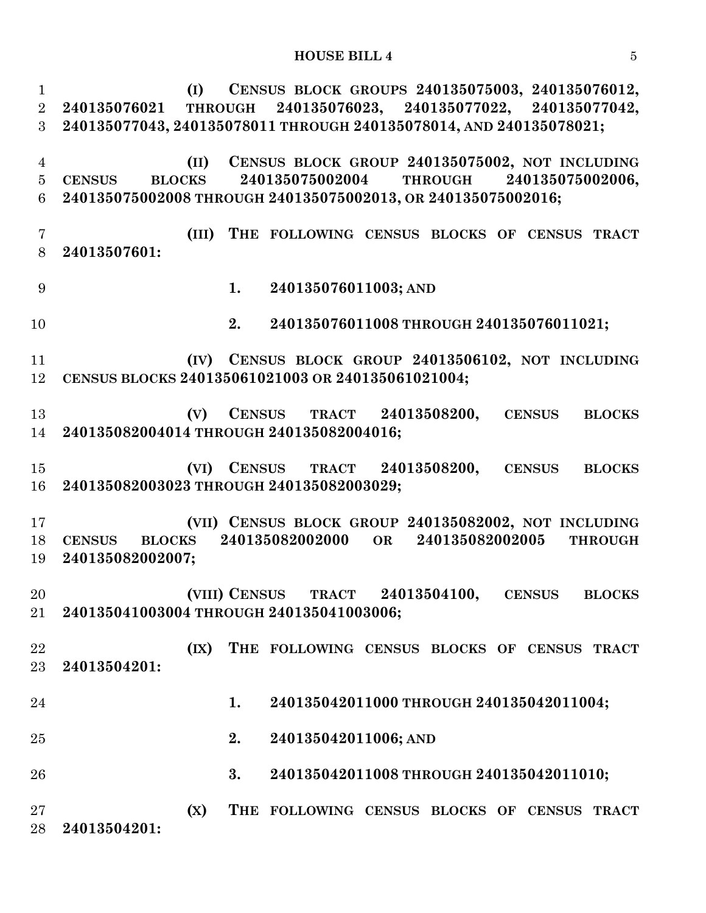#### **HOUSE BILL 4** 5

 **(I) CENSUS BLOCK GROUPS 240135075003, 240135076012, 240135076021 THROUGH 240135076023, 240135077022, 240135077042, 240135077043, 240135078011 THROUGH 240135078014, AND 240135078021; (II) CENSUS BLOCK GROUP 240135075002, NOT INCLUDING CENSUS BLOCKS 240135075002004 THROUGH 240135075002006, 240135075002008 THROUGH 240135075002013, OR 240135075002016; (III) THE FOLLOWING CENSUS BLOCKS OF CENSUS TRACT 24013507601: 1. 240135076011003; AND 2. 240135076011008 THROUGH 240135076011021; (IV) CENSUS BLOCK GROUP 24013506102, NOT INCLUDING CENSUS BLOCKS 240135061021003 OR 240135061021004; (V) CENSUS TRACT 24013508200, CENSUS BLOCKS 240135082004014 THROUGH 240135082004016; (VI) CENSUS TRACT 24013508200, CENSUS BLOCKS 240135082003023 THROUGH 240135082003029; (VII) CENSUS BLOCK GROUP 240135082002, NOT INCLUDING CENSUS BLOCKS 240135082002000 OR 240135082002005 THROUGH 240135082002007; (VIII) CENSUS TRACT 24013504100, CENSUS BLOCKS 240135041003004 THROUGH 240135041003006; (IX) THE FOLLOWING CENSUS BLOCKS OF CENSUS TRACT 24013504201: 1. 240135042011000 THROUGH 240135042011004; 2. 240135042011006; AND 3. 240135042011008 THROUGH 240135042011010; (X) THE FOLLOWING CENSUS BLOCKS OF CENSUS TRACT 24013504201:**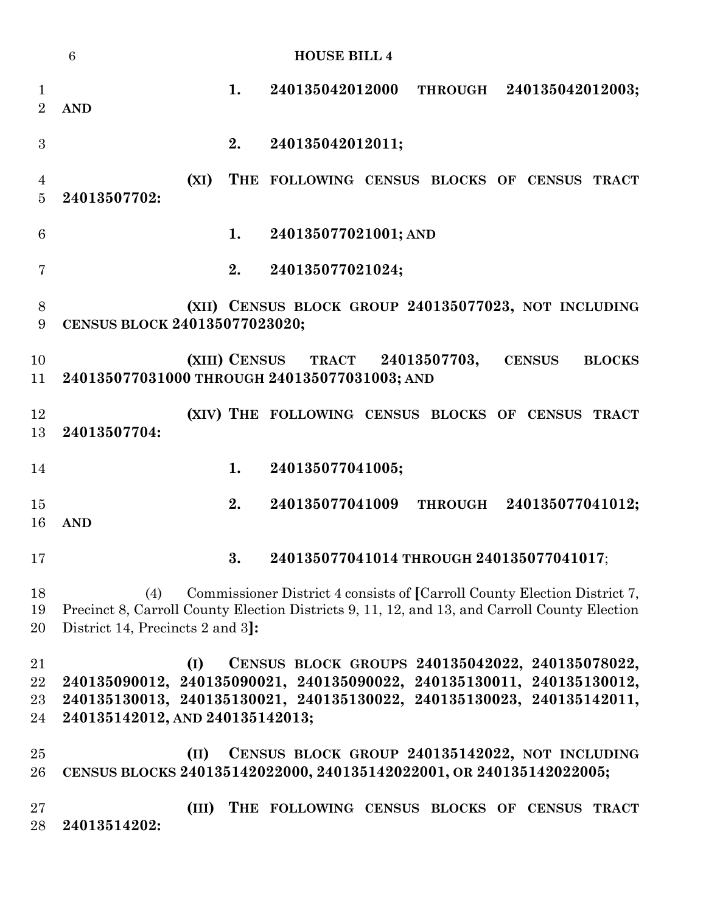|                                  | $\overline{6}$                         |    | <b>HOUSE BILL 4</b>                                                                                                                                                                               |
|----------------------------------|----------------------------------------|----|---------------------------------------------------------------------------------------------------------------------------------------------------------------------------------------------------|
| $\mathbf 1$<br>$\overline{2}$    | <b>AND</b>                             | 1. | 240135042012000<br>THROUGH 240135042012003;                                                                                                                                                       |
| 3                                |                                        | 2. | 240135042012011;                                                                                                                                                                                  |
| $\overline{4}$<br>$\overline{5}$ | (XI)<br>24013507702:                   |    | THE FOLLOWING CENSUS BLOCKS OF CENSUS TRACT                                                                                                                                                       |
| 6                                |                                        | 1. | 240135077021001; AND                                                                                                                                                                              |
| 7                                |                                        | 2. | 240135077021024;                                                                                                                                                                                  |
| 8<br>$\boldsymbol{9}$            | CENSUS BLOCK 240135077023020;          |    | (XII) CENSUS BLOCK GROUP 240135077023, NOT INCLUDING                                                                                                                                              |
| 10<br>11                         |                                        |    | (XIII) CENSUS TRACT 24013507703,<br><b>CENSUS</b><br><b>BLOCKS</b><br>240135077031000 THROUGH 240135077031003; AND                                                                                |
| 12<br>13                         | 24013507704:                           |    | (XIV) THE FOLLOWING CENSUS BLOCKS OF CENSUS TRACT                                                                                                                                                 |
| 14                               |                                        | 1. | 240135077041005;                                                                                                                                                                                  |
| 15<br>16                         | <b>AND</b>                             | 2. | 240135077041009 THROUGH 240135077041012;                                                                                                                                                          |
| 17                               |                                        | 3. | 240135077041014 THROUGH 240135077041017;                                                                                                                                                          |
| 18<br>19<br>20                   | (4)<br>District 14, Precincts 2 and 3. |    | Commissioner District 4 consists of [Carroll County Election District 7,<br>Precinct 8, Carroll County Election Districts 9, 11, 12, and 13, and Carroll County Election                          |
| 21<br>22<br>23<br>24             | (I)<br>240135142012, AND 240135142013; |    | CENSUS BLOCK GROUPS 240135042022, 240135078022,<br>240135090012, 240135090021, 240135090022, 240135130011, 240135130012,<br>240135130013, 240135130021, 240135130022, 240135130023, 240135142011, |
| 25<br>26                         | (II)                                   |    | CENSUS BLOCK GROUP 240135142022, NOT INCLUDING<br>CENSUS BLOCKS 240135142022000, 240135142022001, OR 240135142022005;                                                                             |
| $27\,$<br>28                     | (III)<br>24013514202:                  |    | THE FOLLOWING CENSUS BLOCKS OF CENSUS TRACT                                                                                                                                                       |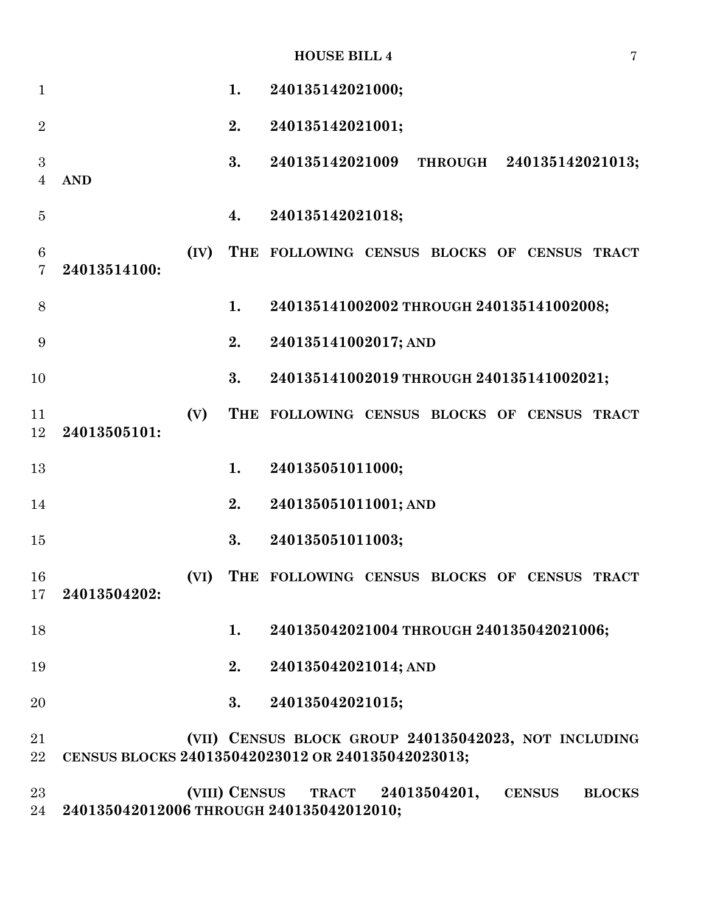|  | <b>HOUSE BILL 4</b> |  |  |
|--|---------------------|--|--|
|--|---------------------|--|--|

| $\mathbf{1}$        |                                                   |      | 1.                 | 240135142021000;                 |  |                                          |                                                      |
|---------------------|---------------------------------------------------|------|--------------------|----------------------------------|--|------------------------------------------|------------------------------------------------------|
| $\overline{2}$      |                                                   |      | 2.                 | 240135142021001;                 |  |                                          |                                                      |
| 3<br>$\overline{4}$ | <b>AND</b>                                        |      | 3.                 | 240135142021009                  |  |                                          | THROUGH 240135142021013;                             |
| $\overline{5}$      |                                                   |      | $\boldsymbol{4}$ . | 240135142021018;                 |  |                                          |                                                      |
| 6<br>7              | 24013514100:                                      | (IV) |                    |                                  |  |                                          | THE FOLLOWING CENSUS BLOCKS OF CENSUS TRACT          |
| 8                   |                                                   |      | 1.                 |                                  |  | 240135141002002 THROUGH 240135141002008; |                                                      |
| 9                   |                                                   |      | 2.                 | 240135141002017; AND             |  |                                          |                                                      |
| 10                  |                                                   |      | 3.                 |                                  |  | 240135141002019 THROUGH 240135141002021; |                                                      |
| 11<br>12            | 24013505101:                                      | (V)  |                    |                                  |  |                                          | THE FOLLOWING CENSUS BLOCKS OF CENSUS TRACT          |
| 13                  |                                                   |      | 1.                 | 240135051011000;                 |  |                                          |                                                      |
| 14                  |                                                   |      | 2.                 | 240135051011001; AND             |  |                                          |                                                      |
| 15                  |                                                   |      | 3.                 | 240135051011003;                 |  |                                          |                                                      |
| 16                  | 17 24013504202:                                   | (VI) |                    |                                  |  |                                          | THE FOLLOWING CENSUS BLOCKS OF CENSUS TRACT          |
| 18                  |                                                   |      | 1.                 |                                  |  | 240135042021004 THROUGH 240135042021006; |                                                      |
| 19                  |                                                   |      | 2.                 | 240135042021014; AND             |  |                                          |                                                      |
| 20                  |                                                   |      | 3.                 | 240135042021015;                 |  |                                          |                                                      |
| 21<br>$22\,$        | CENSUS BLOCKS 240135042023012 OR 240135042023013; |      |                    |                                  |  |                                          | (VII) CENSUS BLOCK GROUP 240135042023, NOT INCLUDING |
| 23                  |                                                   |      |                    | (VIII) CENSUS TRACT 24013504201, |  | <b>CENSUS</b>                            | <b>BLOCKS</b>                                        |

**240135042012006 THROUGH 240135042012010;**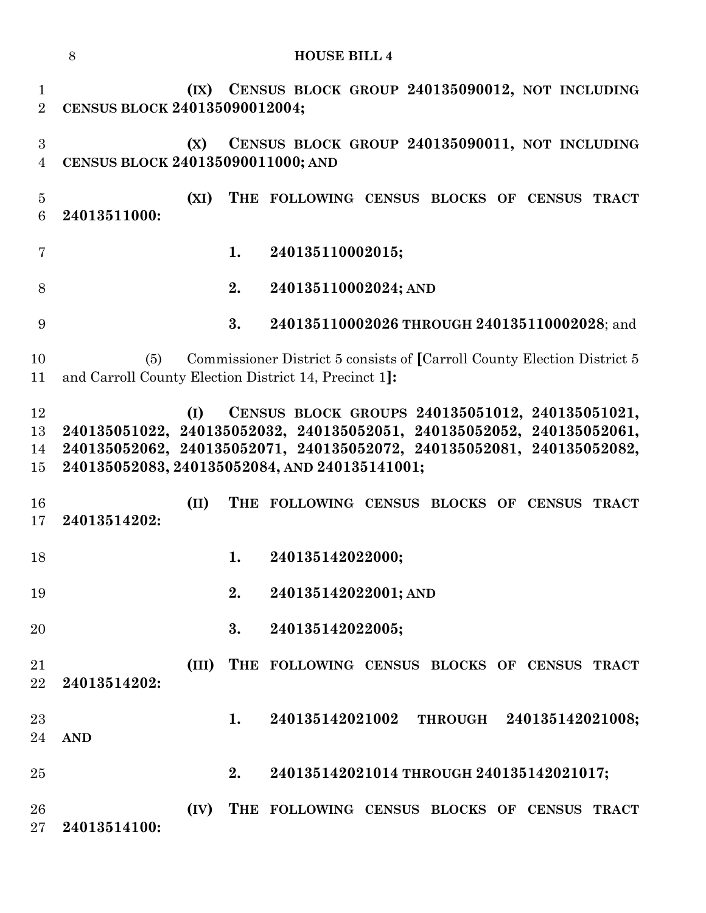|                                | 8                                 |       |    | <b>HOUSE BILL 4</b>                                                                                                                                                                                                                                |
|--------------------------------|-----------------------------------|-------|----|----------------------------------------------------------------------------------------------------------------------------------------------------------------------------------------------------------------------------------------------------|
| $\mathbf{1}$<br>$\overline{2}$ | CENSUS BLOCK 240135090012004;     |       |    | (IX) CENSUS BLOCK GROUP 240135090012, NOT INCLUDING                                                                                                                                                                                                |
| $\sqrt{3}$<br>$\overline{4}$   | CENSUS BLOCK 240135090011000; AND | (X)   |    | CENSUS BLOCK GROUP 240135090011, NOT INCLUDING                                                                                                                                                                                                     |
| $\bf 5$<br>6                   | 24013511000:                      | (XI)  |    | THE FOLLOWING CENSUS BLOCKS OF CENSUS TRACT                                                                                                                                                                                                        |
| $\overline{7}$                 |                                   |       | 1. | 240135110002015;                                                                                                                                                                                                                                   |
| 8                              |                                   |       | 2. | 240135110002024; AND                                                                                                                                                                                                                               |
| 9                              |                                   |       | 3. | 240135110002026 THROUGH 240135110002028; and                                                                                                                                                                                                       |
| 10<br>11                       | (5)                               |       |    | Commissioner District 5 consists of [Carroll County Election District 5<br>and Carroll County Election District 14, Precinct 1]:                                                                                                                   |
| 12<br>13<br>14<br>15           |                                   | (I)   |    | CENSUS BLOCK GROUPS 240135051012, 240135051021,<br>240135051022, 240135052032, 240135052051, 240135052052, 240135052061,<br>240135052062, 240135052071, 240135052072, 240135052081, 240135052082,<br>240135052083, 240135052084, AND 240135141001; |
| 16<br>17                       | 24013514202:                      | (II)  |    | THE FOLLOWING CENSUS BLOCKS OF CENSUS TRACT                                                                                                                                                                                                        |
| 18                             |                                   |       | 1. | 240135142022000;                                                                                                                                                                                                                                   |
| 19                             |                                   |       | 2. | 240135142022001; AND                                                                                                                                                                                                                               |
| 20                             |                                   |       | 3. | 240135142022005;                                                                                                                                                                                                                                   |
| 21<br>22                       | 24013514202:                      | (III) |    | THE FOLLOWING CENSUS BLOCKS OF CENSUS TRACT                                                                                                                                                                                                        |
| 23<br>24                       | <b>AND</b>                        |       | 1. | 240135142021002 THROUGH 240135142021008;                                                                                                                                                                                                           |
| 25                             |                                   |       | 2. | 240135142021014 THROUGH 240135142021017;                                                                                                                                                                                                           |
| 26<br>27                       | 24013514100:                      | (IV)  |    | THE FOLLOWING CENSUS BLOCKS OF CENSUS TRACT                                                                                                                                                                                                        |